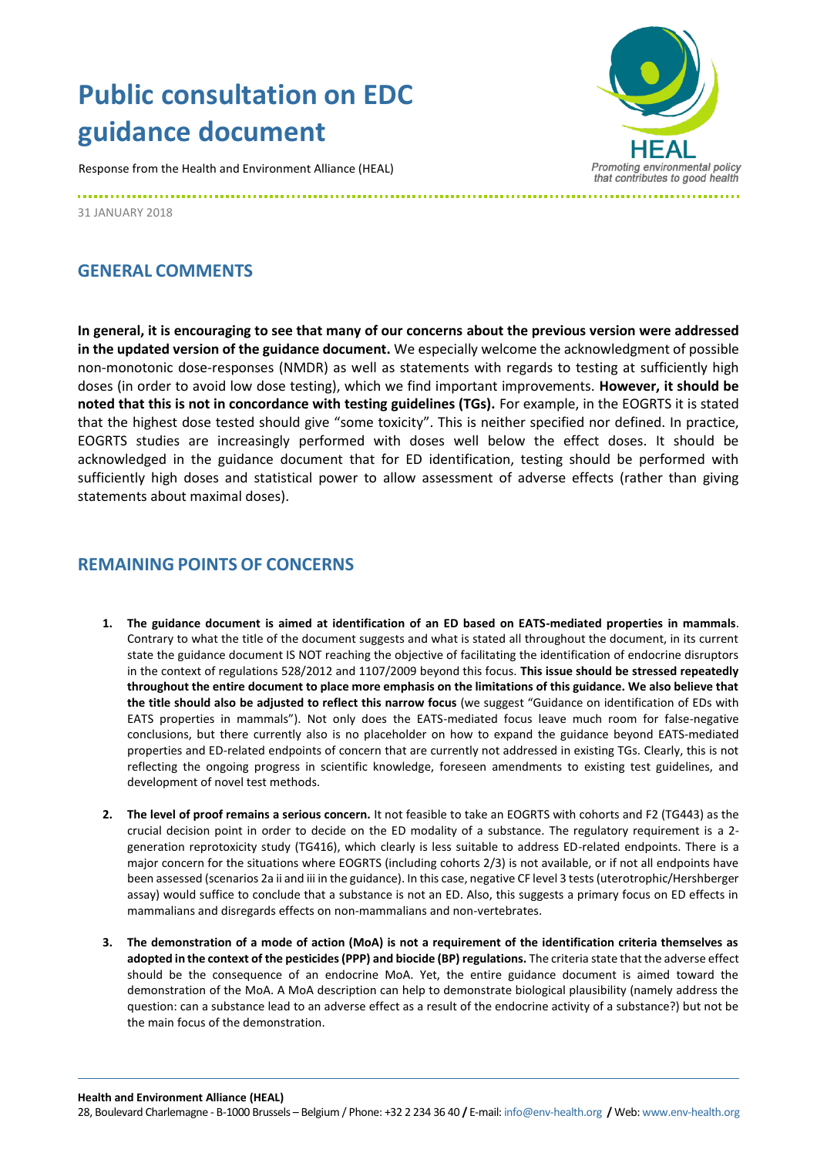## **Public consultation on EDC guidance document**

Response from the Health and Environment Alliance (HEAL)



31 JANUARY 2018

## **GENERAL COMMENTS**

**In general, it is encouraging to see that many of our concerns about the previous version were addressed in the updated version of the guidance document.** We especially welcome the acknowledgment of possible non-monotonic dose-responses (NMDR) as well as statements with regards to testing at sufficiently high doses (in order to avoid low dose testing), which we find important improvements. **However, it should be noted that this is not in concordance with testing guidelines (TGs).** For example, in the EOGRTS it is stated that the highest dose tested should give "some toxicity". This is neither specified nor defined. In practice, EOGRTS studies are increasingly performed with doses well below the effect doses. It should be acknowledged in the guidance document that for ED identification, testing should be performed with sufficiently high doses and statistical power to allow assessment of adverse effects (rather than giving statements about maximal doses).

## **REMAINING POINTSOF CONCERNS**

- **1. The guidance document is aimed at identification of an ED based on EATS-mediated properties in mammals**. Contrary to what the title of the document suggests and what is stated all throughout the document, in its current state the guidance document IS NOT reaching the objective of facilitating the identification of endocrine disruptors in the context of regulations 528/2012 and 1107/2009 beyond this focus. **This issue should be stressed repeatedly throughout the entire document to place more emphasis on the limitations of this guidance. We also believe that the title should also be adjusted to reflect this narrow focus** (we suggest "Guidance on identification of EDs with EATS properties in mammals"). Not only does the EATS-mediated focus leave much room for false-negative conclusions, but there currently also is no placeholder on how to expand the guidance beyond EATS-mediated properties and ED-related endpoints of concern that are currently not addressed in existing TGs. Clearly, this is not reflecting the ongoing progress in scientific knowledge, foreseen amendments to existing test guidelines, and development of novel test methods.
- **2. The level of proof remains a serious concern.** It not feasible to take an EOGRTS with cohorts and F2 (TG443) as the crucial decision point in order to decide on the ED modality of a substance. The regulatory requirement is a 2 generation reprotoxicity study (TG416), which clearly is less suitable to address ED-related endpoints. There is a major concern for the situations where EOGRTS (including cohorts 2/3) is not available, or if not all endpoints have been assessed (scenarios 2a ii and iii in the guidance). In this case, negative CF level 3 tests (uterotrophic/Hershberger assay) would suffice to conclude that a substance is not an ED. Also, this suggests a primary focus on ED effects in mammalians and disregards effects on non-mammalians and non-vertebrates.
- **3. The demonstration of a mode of action (MoA) is not a requirement of the identification criteria themselves as adopted in the context of the pesticides (PPP) and biocide (BP) regulations.** The criteria state that the adverse effect should be the consequence of an endocrine MoA. Yet, the entire guidance document is aimed toward the demonstration of the MoA. A MoA description can help to demonstrate biological plausibility (namely address the question: can a substance lead to an adverse effect as a result of the endocrine activity of a substance?) but not be the main focus of the demonstration.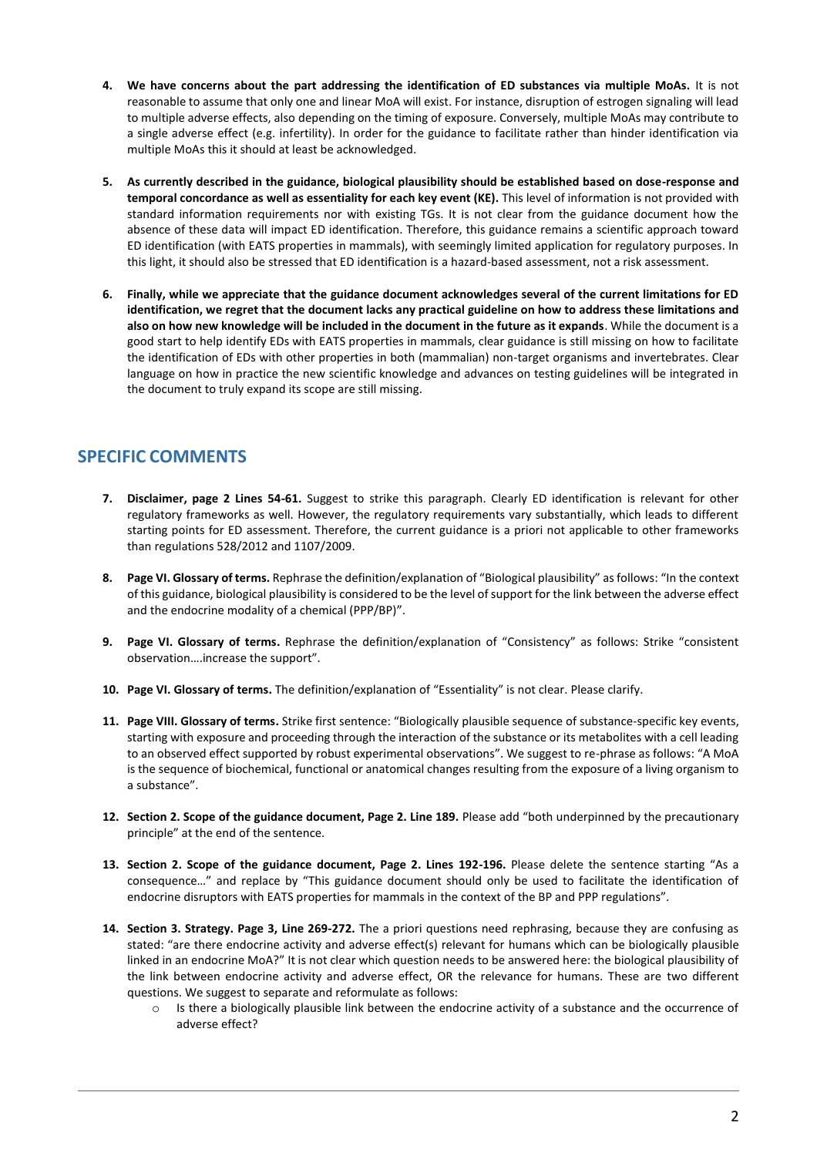- **4. We have concerns about the part addressing the identification of ED substances via multiple MoAs.** It is not reasonable to assume that only one and linear MoA will exist. For instance, disruption of estrogen signaling will lead to multiple adverse effects, also depending on the timing of exposure. Conversely, multiple MoAs may contribute to a single adverse effect (e.g. infertility). In order for the guidance to facilitate rather than hinder identification via multiple MoAs this it should at least be acknowledged.
- **5. As currently described in the guidance, biological plausibility should be established based on dose-response and temporal concordance as well as essentiality for each key event (KE).** This level of information is not provided with standard information requirements nor with existing TGs. It is not clear from the guidance document how the absence of these data will impact ED identification. Therefore, this guidance remains a scientific approach toward ED identification (with EATS properties in mammals), with seemingly limited application for regulatory purposes. In this light, it should also be stressed that ED identification is a hazard-based assessment, not a risk assessment.
- **6. Finally, while we appreciate that the guidance document acknowledges several of the current limitations for ED identification, we regret that the document lacks any practical guideline on how to address these limitations and also on how new knowledge will be included in the document in the future as it expands**. While the document is a good start to help identify EDs with EATS properties in mammals, clear guidance is still missing on how to facilitate the identification of EDs with other properties in both (mammalian) non-target organisms and invertebrates. Clear language on how in practice the new scientific knowledge and advances on testing guidelines will be integrated in the document to truly expand its scope are still missing.

## **SPECIFIC COMMENTS**

- **7. Disclaimer, page 2 Lines 54-61.** Suggest to strike this paragraph. Clearly ED identification is relevant for other regulatory frameworks as well. However, the regulatory requirements vary substantially, which leads to different starting points for ED assessment. Therefore, the current guidance is a priori not applicable to other frameworks than regulations 528/2012 and 1107/2009.
- **8. Page VI. Glossary of terms.** Rephrase the definition/explanation of "Biological plausibility" as follows: "In the context of this guidance, biological plausibility is considered to be the level of support for the link between the adverse effect and the endocrine modality of a chemical (PPP/BP)".
- **9. Page VI. Glossary of terms.** Rephrase the definition/explanation of "Consistency" as follows: Strike "consistent observation….increase the support".
- **10. Page VI. Glossary of terms.** The definition/explanation of "Essentiality" is not clear. Please clarify.
- **11. Page VIII. Glossary of terms.** Strike first sentence: "Biologically plausible sequence of substance-specific key events, starting with exposure and proceeding through the interaction of the substance or its metabolites with a cell leading to an observed effect supported by robust experimental observations". We suggest to re-phrase as follows: "A MoA is the sequence of biochemical, functional or anatomical changes resulting from the exposure of a living organism to a substance".
- **12. Section 2. Scope of the guidance document, Page 2. Line 189.** Please add "both underpinned by the precautionary principle" at the end of the sentence.
- **13. Section 2. Scope of the guidance document, Page 2. Lines 192-196.** Please delete the sentence starting "As a consequence…" and replace by "This guidance document should only be used to facilitate the identification of endocrine disruptors with EATS properties for mammals in the context of the BP and PPP regulations".
- **14. Section 3. Strategy. Page 3, Line 269-272.** The a priori questions need rephrasing, because they are confusing as stated: "are there endocrine activity and adverse effect(s) relevant for humans which can be biologically plausible linked in an endocrine MoA?" It is not clear which question needs to be answered here: the biological plausibility of the link between endocrine activity and adverse effect, OR the relevance for humans. These are two different questions. We suggest to separate and reformulate as follows:
	- $\circ$  Is there a biologically plausible link between the endocrine activity of a substance and the occurrence of adverse effect?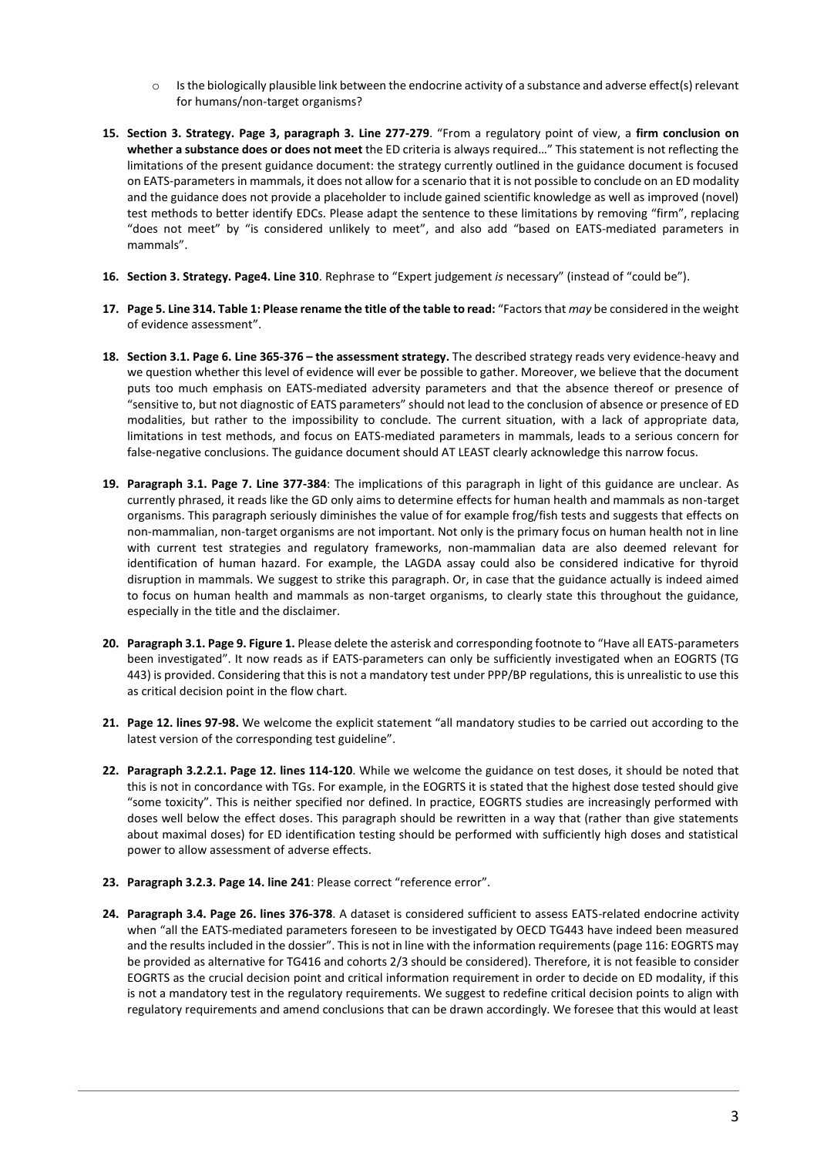- o Is the biologically plausible link between the endocrine activity of a substance and adverse effect(s) relevant for humans/non-target organisms?
- **15. Section 3. Strategy. Page 3, paragraph 3. Line 277-279**. "From a regulatory point of view, a **firm conclusion on whether a substance does or does not meet** the ED criteria is always required…" This statement is not reflecting the limitations of the present guidance document: the strategy currently outlined in the guidance document is focused on EATS-parameters in mammals, it does not allow for a scenario that it is not possible to conclude on an ED modality and the guidance does not provide a placeholder to include gained scientific knowledge as well as improved (novel) test methods to better identify EDCs. Please adapt the sentence to these limitations by removing "firm", replacing "does not meet" by "is considered unlikely to meet", and also add "based on EATS-mediated parameters in mammals".
- **16. Section 3. Strategy. Page4. Line 310**. Rephrase to "Expert judgement *is* necessary" (instead of "could be").
- **17. Page 5. Line 314. Table 1: Please rename the title of the table to read:** "Factors that *may* be considered in the weight of evidence assessment".
- **18. Section 3.1. Page 6. Line 365-376 – the assessment strategy.** The described strategy reads very evidence-heavy and we question whether this level of evidence will ever be possible to gather. Moreover, we believe that the document puts too much emphasis on EATS-mediated adversity parameters and that the absence thereof or presence of "sensitive to, but not diagnostic of EATS parameters" should not lead to the conclusion of absence or presence of ED modalities, but rather to the impossibility to conclude. The current situation, with a lack of appropriate data, limitations in test methods, and focus on EATS-mediated parameters in mammals, leads to a serious concern for false-negative conclusions. The guidance document should AT LEAST clearly acknowledge this narrow focus.
- **19. Paragraph 3.1. Page 7. Line 377-384**: The implications of this paragraph in light of this guidance are unclear. As currently phrased, it reads like the GD only aims to determine effects for human health and mammals as non-target organisms. This paragraph seriously diminishes the value of for example frog/fish tests and suggests that effects on non-mammalian, non-target organisms are not important. Not only is the primary focus on human health not in line with current test strategies and regulatory frameworks, non-mammalian data are also deemed relevant for identification of human hazard. For example, the LAGDA assay could also be considered indicative for thyroid disruption in mammals. We suggest to strike this paragraph. Or, in case that the guidance actually is indeed aimed to focus on human health and mammals as non-target organisms, to clearly state this throughout the guidance, especially in the title and the disclaimer.
- **20. Paragraph 3.1. Page 9. Figure 1.** Please delete the asterisk and corresponding footnote to "Have all EATS-parameters been investigated". It now reads as if EATS-parameters can only be sufficiently investigated when an EOGRTS (TG 443) is provided. Considering that this is not a mandatory test under PPP/BP regulations, this is unrealistic to use this as critical decision point in the flow chart.
- **21. Page 12. lines 97-98.** We welcome the explicit statement "all mandatory studies to be carried out according to the latest version of the corresponding test guideline".
- **22. Paragraph 3.2.2.1. Page 12. lines 114-120**. While we welcome the guidance on test doses, it should be noted that this is not in concordance with TGs. For example, in the EOGRTS it is stated that the highest dose tested should give "some toxicity". This is neither specified nor defined. In practice, EOGRTS studies are increasingly performed with doses well below the effect doses. This paragraph should be rewritten in a way that (rather than give statements about maximal doses) for ED identification testing should be performed with sufficiently high doses and statistical power to allow assessment of adverse effects.
- **23. Paragraph 3.2.3. Page 14. line 241**: Please correct "reference error".
- **24. Paragraph 3.4. Page 26. lines 376-378**. A dataset is considered sufficient to assess EATS-related endocrine activity when "all the EATS-mediated parameters foreseen to be investigated by OECD TG443 have indeed been measured and the results included in the dossier". This is not in line with the information requirements (page 116: EOGRTS may be provided as alternative for TG416 and cohorts 2/3 should be considered). Therefore, it is not feasible to consider EOGRTS as the crucial decision point and critical information requirement in order to decide on ED modality, if this is not a mandatory test in the regulatory requirements. We suggest to redefine critical decision points to align with regulatory requirements and amend conclusions that can be drawn accordingly. We foresee that this would at least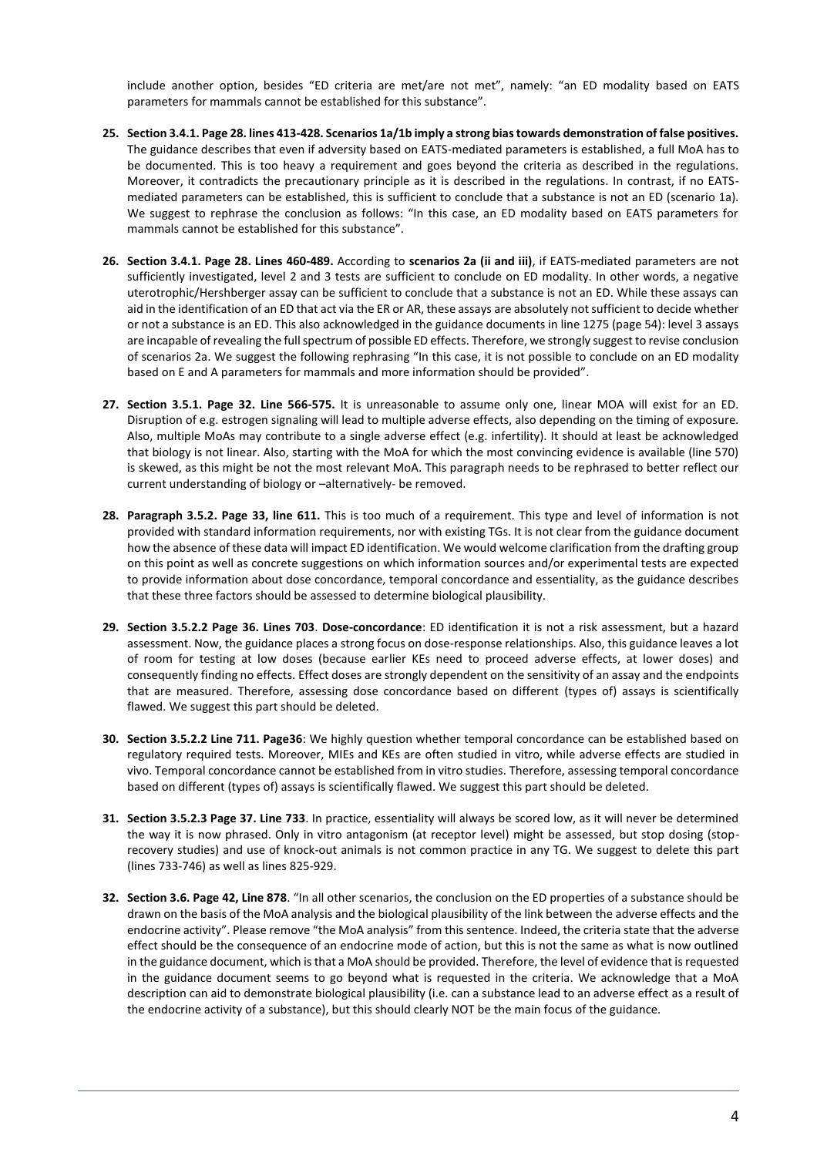include another option, besides "ED criteria are met/are not met", namely: "an ED modality based on EATS parameters for mammals cannot be established for this substance".

- **25. Section 3.4.1. Page 28. lines 413-428. Scenarios 1a/1b imply a strong bias towards demonstration of false positives.** The guidance describes that even if adversity based on EATS-mediated parameters is established, a full MoA has to be documented. This is too heavy a requirement and goes beyond the criteria as described in the regulations. Moreover, it contradicts the precautionary principle as it is described in the regulations. In contrast, if no EATSmediated parameters can be established, this is sufficient to conclude that a substance is not an ED (scenario 1a). We suggest to rephrase the conclusion as follows: "In this case, an ED modality based on EATS parameters for mammals cannot be established for this substance".
- **26. Section 3.4.1. Page 28. Lines 460-489.** According to **scenarios 2a (ii and iii)**, if EATS-mediated parameters are not sufficiently investigated, level 2 and 3 tests are sufficient to conclude on ED modality. In other words, a negative uterotrophic/Hershberger assay can be sufficient to conclude that a substance is not an ED. While these assays can aid in the identification of an ED that act via the ER or AR, these assays are absolutely not sufficient to decide whether or not a substance is an ED. This also acknowledged in the guidance documents in line 1275 (page 54): level 3 assays are incapable of revealing the full spectrum of possible ED effects. Therefore, we strongly suggest to revise conclusion of scenarios 2a. We suggest the following rephrasing "In this case, it is not possible to conclude on an ED modality based on E and A parameters for mammals and more information should be provided".
- **27. Section 3.5.1. Page 32. Line 566-575.** It is unreasonable to assume only one, linear MOA will exist for an ED. Disruption of e.g. estrogen signaling will lead to multiple adverse effects, also depending on the timing of exposure. Also, multiple MoAs may contribute to a single adverse effect (e.g. infertility). It should at least be acknowledged that biology is not linear. Also, starting with the MoA for which the most convincing evidence is available (line 570) is skewed, as this might be not the most relevant MoA. This paragraph needs to be rephrased to better reflect our current understanding of biology or –alternatively- be removed.
- **28. Paragraph 3.5.2. Page 33, line 611.** This is too much of a requirement. This type and level of information is not provided with standard information requirements, nor with existing TGs. It is not clear from the guidance document how the absence of these data will impact ED identification. We would welcome clarification from the drafting group on this point as well as concrete suggestions on which information sources and/or experimental tests are expected to provide information about dose concordance, temporal concordance and essentiality, as the guidance describes that these three factors should be assessed to determine biological plausibility.
- **29. Section 3.5.2.2 Page 36. Lines 703**. **Dose-concordance**: ED identification it is not a risk assessment, but a hazard assessment. Now, the guidance places a strong focus on dose-response relationships. Also, this guidance leaves a lot of room for testing at low doses (because earlier KEs need to proceed adverse effects, at lower doses) and consequently finding no effects. Effect doses are strongly dependent on the sensitivity of an assay and the endpoints that are measured. Therefore, assessing dose concordance based on different (types of) assays is scientifically flawed. We suggest this part should be deleted.
- **30. Section 3.5.2.2 Line 711. Page36**: We highly question whether temporal concordance can be established based on regulatory required tests. Moreover, MIEs and KEs are often studied in vitro, while adverse effects are studied in vivo. Temporal concordance cannot be established from in vitro studies. Therefore, assessing temporal concordance based on different (types of) assays is scientifically flawed. We suggest this part should be deleted.
- **31. Section 3.5.2.3 Page 37. Line 733**. In practice, essentiality will always be scored low, as it will never be determined the way it is now phrased. Only in vitro antagonism (at receptor level) might be assessed, but stop dosing (stoprecovery studies) and use of knock-out animals is not common practice in any TG. We suggest to delete this part (lines 733-746) as well as lines 825-929.
- **32. Section 3.6. Page 42, Line 878**. "In all other scenarios, the conclusion on the ED properties of a substance should be drawn on the basis of the MoA analysis and the biological plausibility of the link between the adverse effects and the endocrine activity". Please remove "the MoA analysis" from this sentence. Indeed, the criteria state that the adverse effect should be the consequence of an endocrine mode of action, but this is not the same as what is now outlined in the guidance document, which is that a MoA should be provided. Therefore, the level of evidence that is requested in the guidance document seems to go beyond what is requested in the criteria. We acknowledge that a MoA description can aid to demonstrate biological plausibility (i.e. can a substance lead to an adverse effect as a result of the endocrine activity of a substance), but this should clearly NOT be the main focus of the guidance.